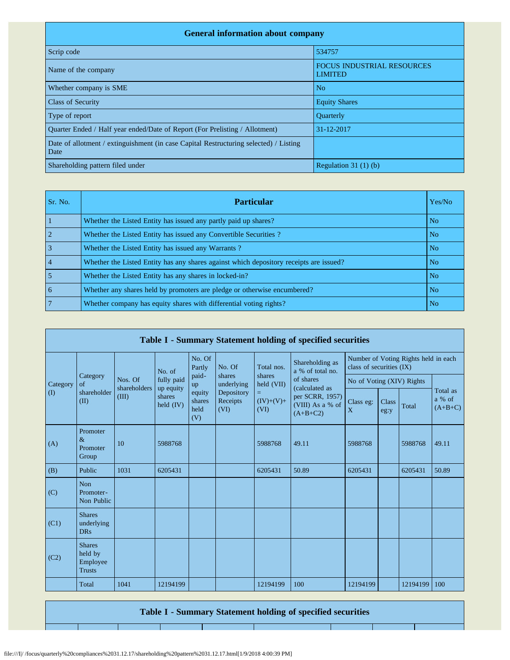| <b>General information about company</b>                                                      |                                                     |  |  |  |  |  |  |  |
|-----------------------------------------------------------------------------------------------|-----------------------------------------------------|--|--|--|--|--|--|--|
| Scrip code                                                                                    | 534757                                              |  |  |  |  |  |  |  |
| Name of the company                                                                           | <b>FOCUS INDUSTRIAL RESOURCES</b><br><b>LIMITED</b> |  |  |  |  |  |  |  |
| Whether company is SME                                                                        | N <sub>o</sub>                                      |  |  |  |  |  |  |  |
| <b>Class of Security</b>                                                                      | <b>Equity Shares</b>                                |  |  |  |  |  |  |  |
| Type of report                                                                                | <b>Ouarterly</b>                                    |  |  |  |  |  |  |  |
| Ouarter Ended / Half year ended/Date of Report (For Prelisting / Allotment)                   | 31-12-2017                                          |  |  |  |  |  |  |  |
| Date of allotment / extinguishment (in case Capital Restructuring selected) / Listing<br>Date |                                                     |  |  |  |  |  |  |  |
| Shareholding pattern filed under                                                              | Regulation $31(1)(b)$                               |  |  |  |  |  |  |  |

| Sr. No.        | <b>Particular</b>                                                                      | Yes/No         |
|----------------|----------------------------------------------------------------------------------------|----------------|
|                | Whether the Listed Entity has issued any partly paid up shares?                        | N <sub>o</sub> |
| $\overline{2}$ | Whether the Listed Entity has issued any Convertible Securities?                       | N <sub>o</sub> |
| $\overline{3}$ | Whether the Listed Entity has issued any Warrants?                                     | N <sub>o</sub> |
| $\overline{4}$ | Whether the Listed Entity has any shares against which depository receipts are issued? | N <sub>o</sub> |
| 5              | Whether the Listed Entity has any shares in locked-in?                                 | N <sub>o</sub> |
| $\overline{6}$ | Whether any shares held by promoters are pledge or otherwise encumbered?               | N <sub>o</sub> |
| $\overline{7}$ | Whether company has equity shares with differential voting rights?                     | N <sub>0</sub> |

|             | Table I - Summary Statement holding of specified securities |                         |                                  |                                 |                                |                                     |                                                                  |                           |               |          |                                 |
|-------------|-------------------------------------------------------------|-------------------------|----------------------------------|---------------------------------|--------------------------------|-------------------------------------|------------------------------------------------------------------|---------------------------|---------------|----------|---------------------------------|
|             |                                                             | No. of                  | No. Of<br>Partly                 | No. Of                          | Total nos.<br>shares           | Shareholding as<br>a % of total no. | Number of Voting Rights held in each<br>class of securities (IX) |                           |               |          |                                 |
| Category    | Category<br>$\alpha$ f                                      | Nos. Of<br>shareholders | fully paid                       | paid-<br>up                     | shares<br>underlying           | held (VII)                          | of shares<br>(calculated as                                      | No of Voting (XIV) Rights |               |          |                                 |
| $($ $($ $)$ | shareholder<br>(II)                                         | (III)                   | up equity<br>shares<br>held (IV) | equity<br>shares<br>held<br>(V) | Depository<br>Receipts<br>(VI) | =<br>$(IV)+(V)+$<br>(VI)            | per SCRR, 1957)<br>(VIII) As a % of<br>$(A+B+C2)$                | Class eg:<br>X            | Class<br>eg:y | Total    | Total as<br>a % of<br>$(A+B+C)$ |
| (A)         | Promoter<br>$\alpha$<br>Promoter<br>Group                   | 10                      | 5988768                          |                                 |                                | 5988768                             | 49.11                                                            | 5988768                   |               | 5988768  | 49.11                           |
| (B)         | Public                                                      | 1031                    | 6205431                          |                                 |                                | 6205431                             | 50.89                                                            | 6205431                   |               | 6205431  | 50.89                           |
| (C)         | <b>Non</b><br>Promoter-<br>Non Public                       |                         |                                  |                                 |                                |                                     |                                                                  |                           |               |          |                                 |
| (C1)        | <b>Shares</b><br>underlying<br><b>DRs</b>                   |                         |                                  |                                 |                                |                                     |                                                                  |                           |               |          |                                 |
| (C2)        | <b>Shares</b><br>held by<br>Employee<br><b>Trusts</b>       |                         |                                  |                                 |                                |                                     |                                                                  |                           |               |          |                                 |
|             | Total                                                       | 1041                    | 12194199                         |                                 |                                | 12194199                            | 100                                                              | 12194199                  |               | 12194199 | 100                             |

**Table I - Summary Statement holding of specified securities**

file:///I|/ /focus/quarterly%20compliances%2031.12.17/shareholding%20pattern%2031.12.17.html[1/9/2018 4:00:39 PM]

т

┱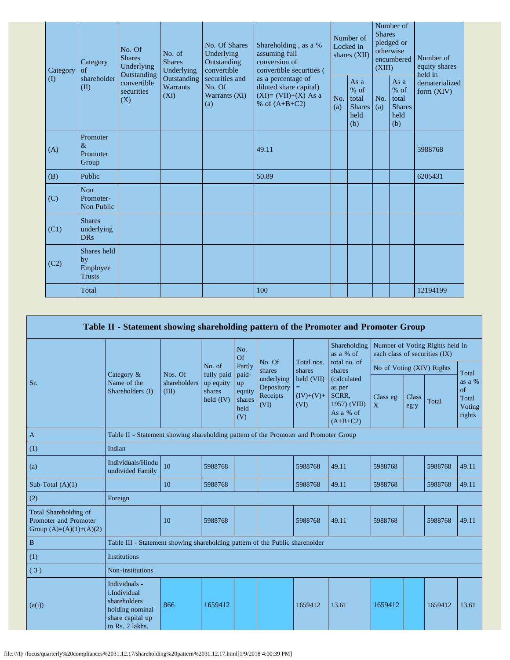| Category | Category<br>of                                 | No. Of<br><b>Shares</b><br>Underlying<br>Outstanding | No. of<br><b>Shares</b><br>Underlying     | No. Of Shares<br>Underlying<br>Outstanding<br>convertible | Shareholding, as a %<br>assuming full<br>conversion of<br>convertible securities (       | Number of<br>Locked in<br>shares (XII) |                                                         | Number of<br><b>Shares</b><br>pledged or<br>otherwise<br>encumbered<br>(XIII) |                                                         | Number of<br>equity shares<br>held in |
|----------|------------------------------------------------|------------------------------------------------------|-------------------------------------------|-----------------------------------------------------------|------------------------------------------------------------------------------------------|----------------------------------------|---------------------------------------------------------|-------------------------------------------------------------------------------|---------------------------------------------------------|---------------------------------------|
| $\rm(D)$ | shareholder<br>(II)                            | convertible<br>securities<br>(X)                     | Outstanding<br><b>Warrants</b><br>$(X_i)$ | securities and<br>No. Of<br>Warrants (Xi)<br>(a)          | as a percentage of<br>diluted share capital)<br>$(XI)=(VII)+(X) As a$<br>% of $(A+B+C2)$ | No.<br>(a)                             | As a<br>$%$ of<br>total<br><b>Shares</b><br>held<br>(b) | No.<br>(a)                                                                    | As a<br>$%$ of<br>total<br><b>Shares</b><br>held<br>(b) | dematerialized<br>form $(XIV)$        |
| (A)      | Promoter<br>$\&$<br>Promoter<br>Group          |                                                      |                                           |                                                           | 49.11                                                                                    |                                        |                                                         |                                                                               |                                                         | 5988768                               |
| (B)      | Public                                         |                                                      |                                           |                                                           | 50.89                                                                                    |                                        |                                                         |                                                                               |                                                         | 6205431                               |
| (C)      | <b>Non</b><br>Promoter-<br>Non Public          |                                                      |                                           |                                                           |                                                                                          |                                        |                                                         |                                                                               |                                                         |                                       |
| (C1)     | <b>Shares</b><br>underlying<br><b>DRs</b>      |                                                      |                                           |                                                           |                                                                                          |                                        |                                                         |                                                                               |                                                         |                                       |
| (C2)     | Shares held<br>by<br>Employee<br><b>Trusts</b> |                                                      |                                           |                                                           |                                                                                          |                                        |                                                         |                                                                               |                                                         |                                       |
|          | Total                                          |                                                      |                                           |                                                           | 100                                                                                      |                                        |                                                         |                                                                               |                                                         | 12194199                              |

|                                                                             | Table II - Statement showing shareholding pattern of the Promoter and Promoter Group                    |                       |                                    |                                                |                                              |                                         |                                                                           |                                                                  |                      |         |                                           |
|-----------------------------------------------------------------------------|---------------------------------------------------------------------------------------------------------|-----------------------|------------------------------------|------------------------------------------------|----------------------------------------------|-----------------------------------------|---------------------------------------------------------------------------|------------------------------------------------------------------|----------------------|---------|-------------------------------------------|
|                                                                             |                                                                                                         |                       |                                    | No.<br>Of                                      |                                              |                                         | Shareholding<br>as a % of                                                 | Number of Voting Rights held in<br>each class of securities (IX) |                      |         |                                           |
|                                                                             |                                                                                                         | Nos. Of               | No. of<br>fully paid               | Partly                                         | No. Of<br>shares                             | Total nos.<br>shares                    | total no. of<br>shares                                                    | No of Voting (XIV) Rights                                        |                      | Total   |                                           |
| Sr.                                                                         | Category $\&$<br>Name of the<br>Shareholders (I)                                                        | shareholders<br>(III) | up equity<br>shares<br>held $(IV)$ | paid-<br>up<br>equity<br>shares<br>held<br>(V) | underlying<br>Depository<br>Receipts<br>(VI) | held (VII)<br>Ξ.<br>$(IV)+(V)+$<br>(VI) | (calculated<br>as per<br>SCRR,<br>1957) (VIII)<br>As a % of<br>$(A+B+C2)$ | Class eg:<br>X                                                   | <b>Class</b><br>eg:y | Total   | as a %<br>of<br>Total<br>Voting<br>rights |
| $\mathbf{A}$                                                                | Table II - Statement showing shareholding pattern of the Promoter and Promoter Group                    |                       |                                    |                                                |                                              |                                         |                                                                           |                                                                  |                      |         |                                           |
| (1)                                                                         | Indian                                                                                                  |                       |                                    |                                                |                                              |                                         |                                                                           |                                                                  |                      |         |                                           |
| (a)                                                                         | Individuals/Hindu<br>undivided Family                                                                   | 10                    | 5988768                            |                                                |                                              | 5988768                                 | 49.11                                                                     | 5988768                                                          |                      | 5988768 | 49.11                                     |
| Sub-Total $(A)(1)$                                                          |                                                                                                         | 10                    | 5988768                            |                                                |                                              | 5988768                                 | 49.11                                                                     | 5988768                                                          |                      | 5988768 | 49.11                                     |
| (2)                                                                         | Foreign                                                                                                 |                       |                                    |                                                |                                              |                                         |                                                                           |                                                                  |                      |         |                                           |
| Total Shareholding of<br>Promoter and Promoter<br>Group $(A)=(A)(1)+(A)(2)$ |                                                                                                         | 10                    | 5988768                            |                                                |                                              | 5988768                                 | 49.11                                                                     | 5988768                                                          |                      | 5988768 | 49.11                                     |
| $\, {\bf B}$                                                                | Table III - Statement showing shareholding pattern of the Public shareholder                            |                       |                                    |                                                |                                              |                                         |                                                                           |                                                                  |                      |         |                                           |
| (1)                                                                         | <b>Institutions</b>                                                                                     |                       |                                    |                                                |                                              |                                         |                                                                           |                                                                  |                      |         |                                           |
| (3)                                                                         | Non-institutions                                                                                        |                       |                                    |                                                |                                              |                                         |                                                                           |                                                                  |                      |         |                                           |
| (a(i))                                                                      | Individuals -<br>i.Individual<br>shareholders<br>holding nominal<br>share capital up<br>to Rs. 2 lakhs. | 866                   | 1659412                            |                                                |                                              | 1659412                                 | 13.61                                                                     | 1659412                                                          |                      | 1659412 | 13.61                                     |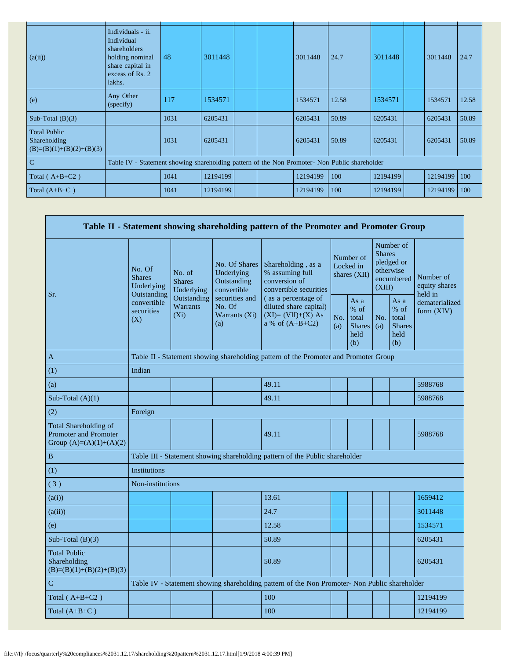| (a(ii))                                                           | Individuals - ii.<br>Individual<br>shareholders<br>holding nominal<br>share capital in<br>excess of Rs. 2<br>lakhs. | 48   | 3011448  |  | 3011448  | 24.7  | 3011448  | 3011448  | 24.7  |
|-------------------------------------------------------------------|---------------------------------------------------------------------------------------------------------------------|------|----------|--|----------|-------|----------|----------|-------|
| (e)                                                               | Any Other<br>(specify)                                                                                              | 117  | 1534571  |  | 1534571  | 12.58 | 1534571  | 1534571  | 12.58 |
| Sub-Total $(B)(3)$                                                |                                                                                                                     | 1031 | 6205431  |  | 6205431  | 50.89 | 6205431  | 6205431  | 50.89 |
| <b>Total Public</b><br>Shareholding<br>$(B)=(B)(1)+(B)(2)+(B)(3)$ |                                                                                                                     | 1031 | 6205431  |  | 6205431  | 50.89 | 6205431  | 6205431  | 50.89 |
| $\overline{C}$                                                    | Table IV - Statement showing shareholding pattern of the Non Promoter- Non Public shareholder                       |      |          |  |          |       |          |          |       |
| Total $(A+B+C2)$                                                  |                                                                                                                     | 1041 | 12194199 |  | 12194199 | 100   | 12194199 | 12194199 | 100   |
| Total $(A+B+C)$                                                   |                                                                                                                     | 1041 | 12194199 |  | 12194199 | 100   | 12194199 | 12194199 | 100   |

|                                                                             |                                                                               |                                                                                               |                                                           | Table II - Statement showing shareholding pattern of the Promoter and Promoter Group      |            |                                                       |            |                                                                               |                                       |
|-----------------------------------------------------------------------------|-------------------------------------------------------------------------------|-----------------------------------------------------------------------------------------------|-----------------------------------------------------------|-------------------------------------------------------------------------------------------|------------|-------------------------------------------------------|------------|-------------------------------------------------------------------------------|---------------------------------------|
| Sr.                                                                         | No. Of<br><b>Shares</b><br>Underlying<br>Outstanding                          | No. of<br><b>Shares</b><br>Underlying                                                         | No. Of Shares<br>Underlying<br>Outstanding<br>convertible | Shareholding, as a<br>% assuming full<br>conversion of<br>convertible securities          |            | Number of<br>Locked in<br>shares (XII)                |            | Number of<br><b>Shares</b><br>pledged or<br>otherwise<br>encumbered<br>(XIII) | Number of<br>equity shares<br>held in |
|                                                                             | Outstanding<br>convertible<br><b>Warrants</b><br>securities<br>$(X_i)$<br>(X) |                                                                                               | securities and<br>No. Of<br>Warrants (Xi)<br>(a)          | (as a percentage of<br>diluted share capital)<br>$(XI)=(VII)+(X)$ As<br>a % of $(A+B+C2)$ | No.<br>(a) | As a<br>% of<br>total<br><b>Shares</b><br>held<br>(b) | No.<br>(a) | As a<br>% of<br>total<br><b>Shares</b><br>held<br>(b)                         | dematerialized<br>form $(XIV)$        |
| A                                                                           |                                                                               |                                                                                               |                                                           | Table II - Statement showing shareholding pattern of the Promoter and Promoter Group      |            |                                                       |            |                                                                               |                                       |
| (1)                                                                         | Indian                                                                        |                                                                                               |                                                           |                                                                                           |            |                                                       |            |                                                                               |                                       |
| (a)                                                                         |                                                                               |                                                                                               |                                                           | 49.11                                                                                     |            |                                                       |            |                                                                               | 5988768                               |
| Sub-Total $(A)(1)$                                                          |                                                                               |                                                                                               |                                                           | 49.11                                                                                     |            |                                                       |            |                                                                               | 5988768                               |
| (2)                                                                         | Foreign                                                                       |                                                                                               |                                                           |                                                                                           |            |                                                       |            |                                                                               |                                       |
| Total Shareholding of<br>Promoter and Promoter<br>Group $(A)=(A)(1)+(A)(2)$ |                                                                               |                                                                                               |                                                           | 49.11                                                                                     |            |                                                       |            |                                                                               | 5988768                               |
| $\, {\bf B}$                                                                |                                                                               |                                                                                               |                                                           | Table III - Statement showing shareholding pattern of the Public shareholder              |            |                                                       |            |                                                                               |                                       |
| (1)                                                                         | <b>Institutions</b>                                                           |                                                                                               |                                                           |                                                                                           |            |                                                       |            |                                                                               |                                       |
| (3)                                                                         | Non-institutions                                                              |                                                                                               |                                                           |                                                                                           |            |                                                       |            |                                                                               |                                       |
| (a(i))                                                                      |                                                                               |                                                                                               |                                                           | 13.61                                                                                     |            |                                                       |            |                                                                               | 1659412                               |
| (a(ii))                                                                     |                                                                               |                                                                                               |                                                           | 24.7                                                                                      |            |                                                       |            |                                                                               | 3011448                               |
| (e)                                                                         |                                                                               |                                                                                               |                                                           | 12.58                                                                                     |            |                                                       |            |                                                                               | 1534571                               |
| Sub-Total $(B)(3)$                                                          |                                                                               |                                                                                               |                                                           | 50.89                                                                                     |            |                                                       |            |                                                                               | 6205431                               |
| <b>Total Public</b><br>Shareholding<br>$(B)=(B)(1)+(B)(2)+(B)(3)$           |                                                                               |                                                                                               |                                                           | 50.89                                                                                     |            |                                                       |            |                                                                               | 6205431                               |
| $\mathbf C$                                                                 |                                                                               | Table IV - Statement showing shareholding pattern of the Non Promoter- Non Public shareholder |                                                           |                                                                                           |            |                                                       |            |                                                                               |                                       |
| Total $(A+B+C2)$                                                            |                                                                               |                                                                                               |                                                           | 100                                                                                       |            |                                                       |            |                                                                               | 12194199                              |
| Total $(A+B+C)$                                                             |                                                                               |                                                                                               |                                                           | 100                                                                                       |            |                                                       |            |                                                                               | 12194199                              |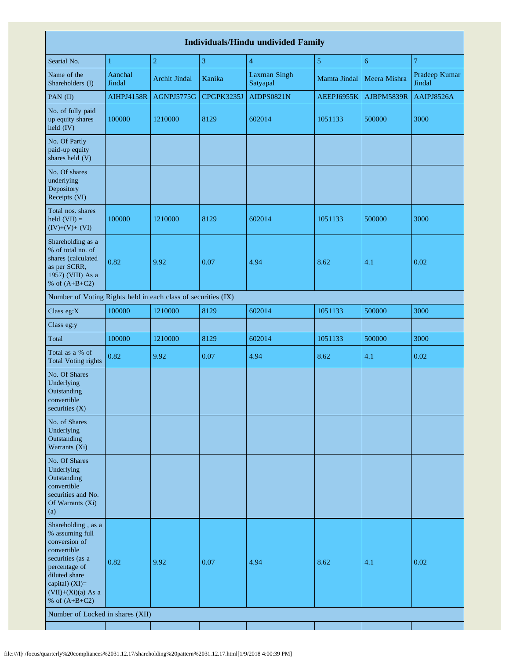|                                                                                                                                                                                                                              |                   |                      |            | <b>Individuals/Hindu undivided Family</b> |                |              |                         |
|------------------------------------------------------------------------------------------------------------------------------------------------------------------------------------------------------------------------------|-------------------|----------------------|------------|-------------------------------------------|----------------|--------------|-------------------------|
| Searial No.                                                                                                                                                                                                                  | $\mathbf{1}$      | $\overline{2}$       | 3          | $\overline{4}$                            | $\overline{5}$ | 6            | $\overline{7}$          |
| Name of the<br>Shareholders (I)                                                                                                                                                                                              | Aanchal<br>Jindal | <b>Archit Jindal</b> | Kanika     | <b>Laxman Singh</b><br>Satyapal           | Mamta Jindal   | Meera Mishra | Pradeep Kumar<br>Jindal |
| PAN (II)                                                                                                                                                                                                                     | <b>AIHPJ4158R</b> | AGNPJ5775G           | CPGPK3235J | AIDPS0821N                                | AEEPJ6955K     | AJBPM5839R   | AAIPJ8526A              |
| No. of fully paid<br>up equity shares<br>$\text{held (IV)}$                                                                                                                                                                  | 100000            | 1210000              | 8129       | 602014                                    | 1051133        | 500000       | 3000                    |
| No. Of Partly<br>paid-up equity<br>shares held (V)                                                                                                                                                                           |                   |                      |            |                                           |                |              |                         |
| No. Of shares<br>underlying<br>Depository<br>Receipts (VI)                                                                                                                                                                   |                   |                      |            |                                           |                |              |                         |
| Total nos. shares<br>held $(VII) =$<br>$(IV)+(V)+(VI)$                                                                                                                                                                       | 100000            | 1210000              | 8129       | 602014                                    | 1051133        | 500000       | 3000                    |
| Shareholding as a<br>% of total no. of<br>shares (calculated<br>as per SCRR,<br>1957) (VIII) As a<br>% of $(A+B+C2)$                                                                                                         | 0.82              | 9.92                 | 0.07       | 4.94                                      | 8.62           | 4.1          | 0.02                    |
| Number of Voting Rights held in each class of securities (IX)                                                                                                                                                                |                   |                      |            |                                           |                |              |                         |
| Class eg:X                                                                                                                                                                                                                   | 100000            | 1210000              | 8129       | 602014                                    | 1051133        | 500000       | 3000                    |
| Class eg:y                                                                                                                                                                                                                   |                   |                      |            |                                           |                |              |                         |
| Total                                                                                                                                                                                                                        | 100000            | 1210000              | 8129       | 602014                                    | 1051133        | 500000       | 3000                    |
| Total as a % of<br><b>Total Voting rights</b>                                                                                                                                                                                | 0.82              | 9.92                 | 0.07       | 4.94                                      | 8.62           | 4.1          | 0.02                    |
| No. Of Shares<br>Underlying<br>Outstanding<br>convertible<br>securities (X)                                                                                                                                                  |                   |                      |            |                                           |                |              |                         |
| No. of Shares<br>Underlying<br>Outstanding<br>Warrants (Xi)                                                                                                                                                                  |                   |                      |            |                                           |                |              |                         |
| No. Of Shares<br>Underlying<br>Outstanding<br>convertible<br>securities and No.<br>Of Warrants (Xi)<br>(a)                                                                                                                   |                   |                      |            |                                           |                |              |                         |
| Shareholding, as a<br>% assuming full<br>conversion of<br>convertible<br>securities (as a<br>percentage of<br>diluted share<br>capital) (XI)=<br>$(VII)+(Xi)(a)$ As a<br>% of $(A+B+C2)$<br>Number of Locked in shares (XII) | 0.82              | 9.92                 | 0.07       | 4.94                                      | 8.62           | 4.1          | 0.02                    |
|                                                                                                                                                                                                                              |                   |                      |            |                                           |                |              |                         |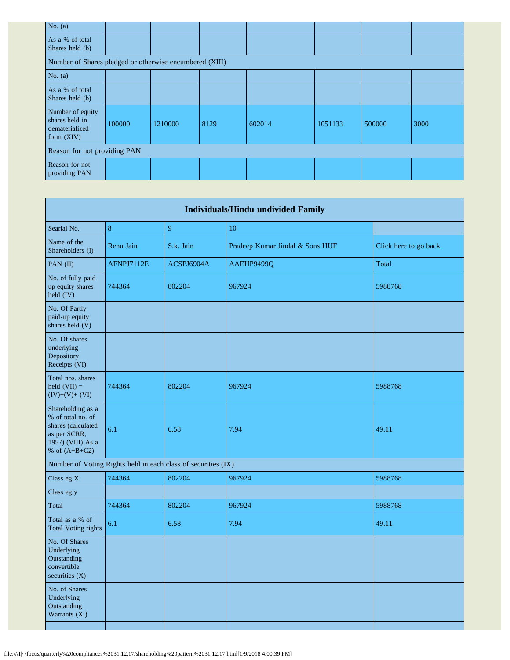| No. $(a)$                                                            |        |         |      |        |         |        |      |
|----------------------------------------------------------------------|--------|---------|------|--------|---------|--------|------|
| As a % of total<br>Shares held (b)                                   |        |         |      |        |         |        |      |
| Number of Shares pledged or otherwise encumbered (XIII)              |        |         |      |        |         |        |      |
| No. $(a)$                                                            |        |         |      |        |         |        |      |
| As a % of total<br>Shares held (b)                                   |        |         |      |        |         |        |      |
| Number of equity<br>shares held in<br>dematerialized<br>form $(XIV)$ | 100000 | 1210000 | 8129 | 602014 | 1051133 | 500000 | 3000 |
| Reason for not providing PAN                                         |        |         |      |        |         |        |      |
| Reason for not<br>providing PAN                                      |        |         |      |        |         |        |      |

|                                                                                                                      |            |                                                               | <b>Individuals/Hindu undivided Family</b> |                       |
|----------------------------------------------------------------------------------------------------------------------|------------|---------------------------------------------------------------|-------------------------------------------|-----------------------|
| Searial No.                                                                                                          | $\bf 8$    | 9                                                             | 10                                        |                       |
| Name of the<br>Shareholders (I)                                                                                      | Renu Jain  | S.k. Jain                                                     | Pradeep Kumar Jindal & Sons HUF           | Click here to go back |
| PAN (II)                                                                                                             | AFNPJ7112E | ACSPJ6904A                                                    | AAEHP9499Q                                | Total                 |
| No. of fully paid<br>up equity shares<br>held (IV)                                                                   | 744364     | 802204                                                        | 967924                                    | 5988768               |
| No. Of Partly<br>paid-up equity<br>shares held (V)                                                                   |            |                                                               |                                           |                       |
| No. Of shares<br>underlying<br>Depository<br>Receipts (VI)                                                           |            |                                                               |                                           |                       |
| Total nos. shares<br>held $(VII) =$<br>$(IV)+(V)+(VI)$                                                               | 744364     | 802204                                                        | 967924                                    | 5988768               |
| Shareholding as a<br>% of total no. of<br>shares (calculated<br>as per SCRR,<br>1957) (VIII) As a<br>% of $(A+B+C2)$ | 6.1        | 6.58                                                          | 7.94                                      | 49.11                 |
|                                                                                                                      |            | Number of Voting Rights held in each class of securities (IX) |                                           |                       |
| Class eg:X                                                                                                           | 744364     | 802204                                                        | 967924                                    | 5988768               |
| Class eg:y                                                                                                           |            |                                                               |                                           |                       |
| Total                                                                                                                | 744364     | 802204                                                        | 967924                                    | 5988768               |
| Total as a % of<br><b>Total Voting rights</b>                                                                        | 6.1        | 6.58                                                          | 7.94                                      | 49.11                 |
| No. Of Shares<br>Underlying<br>Outstanding<br>convertible<br>securities (X)                                          |            |                                                               |                                           |                       |
| No. of Shares<br>Underlying<br>Outstanding<br>Warrants (Xi)                                                          |            |                                                               |                                           |                       |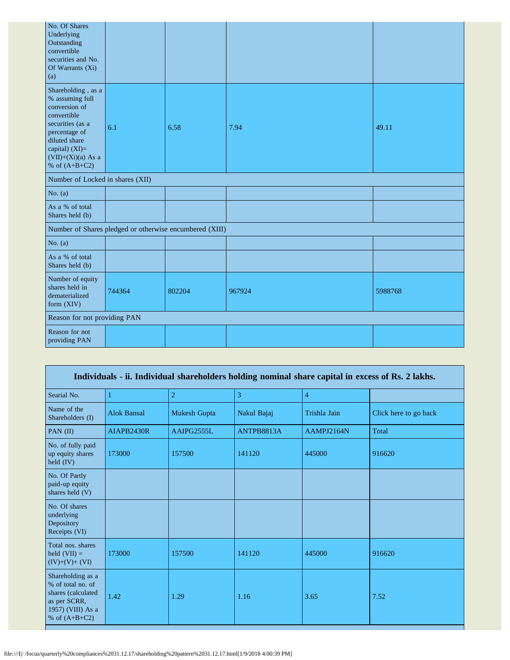| No. Of Shares<br>Underlying<br>Outstanding<br>convertible<br>securities and No.<br>Of Warrants (Xi)<br>(a)                                                                                 |        |                                                         |        |         |
|--------------------------------------------------------------------------------------------------------------------------------------------------------------------------------------------|--------|---------------------------------------------------------|--------|---------|
| Shareholding, as a<br>% assuming full<br>conversion of<br>convertible<br>securities (as a<br>percentage of<br>diluted share<br>capital) $(XI)=$<br>$(VII)+(Xi)(a)$ As a<br>% of $(A+B+C2)$ | 6.1    | 6.58                                                    | 7.94   | 49.11   |
| Number of Locked in shares (XII)                                                                                                                                                           |        |                                                         |        |         |
| No. $(a)$                                                                                                                                                                                  |        |                                                         |        |         |
| As a % of total<br>Shares held (b)                                                                                                                                                         |        |                                                         |        |         |
|                                                                                                                                                                                            |        | Number of Shares pledged or otherwise encumbered (XIII) |        |         |
| No. $(a)$                                                                                                                                                                                  |        |                                                         |        |         |
| As a % of total<br>Shares held (b)                                                                                                                                                         |        |                                                         |        |         |
| Number of equity<br>shares held in<br>dematerialized<br>form (XIV)                                                                                                                         | 744364 | 802204                                                  | 967924 | 5988768 |
| Reason for not providing PAN                                                                                                                                                               |        |                                                         |        |         |
| Reason for not<br>providing PAN                                                                                                                                                            |        |                                                         |        |         |

| Individuals - ii. Individual shareholders holding nominal share capital in excess of Rs. 2 lakhs.                    |                    |                |             |                |                       |  |  |  |  |  |
|----------------------------------------------------------------------------------------------------------------------|--------------------|----------------|-------------|----------------|-----------------------|--|--|--|--|--|
| Searial No.                                                                                                          |                    | $\overline{2}$ | 3           | $\overline{4}$ |                       |  |  |  |  |  |
| Name of the<br>Shareholders (I)                                                                                      | <b>Alok Bansal</b> | Mukesh Gupta   | Nakul Bajaj | Trishla Jain   | Click here to go back |  |  |  |  |  |
| PAN $(II)$                                                                                                           | AIAPB2430R         | AAIPG2555L     | ANTPB8813A  | AAMPJ2164N     | Total                 |  |  |  |  |  |
| No. of fully paid<br>up equity shares<br>held $(IV)$                                                                 | 173000             | 157500         | 141120      | 445000         | 916620                |  |  |  |  |  |
| No. Of Partly<br>paid-up equity<br>shares held (V)                                                                   |                    |                |             |                |                       |  |  |  |  |  |
| No. Of shares<br>underlying<br>Depository<br>Receipts (VI)                                                           |                    |                |             |                |                       |  |  |  |  |  |
| Total nos. shares<br>held $(VII) =$<br>$(IV)+(V)+(VI)$                                                               | 173000             | 157500         | 141120      | 445000         | 916620                |  |  |  |  |  |
| Shareholding as a<br>% of total no. of<br>shares (calculated<br>as per SCRR,<br>1957) (VIII) As a<br>% of $(A+B+C2)$ | 1.42               | 1.29           | 1.16        | 3.65           | 7.52                  |  |  |  |  |  |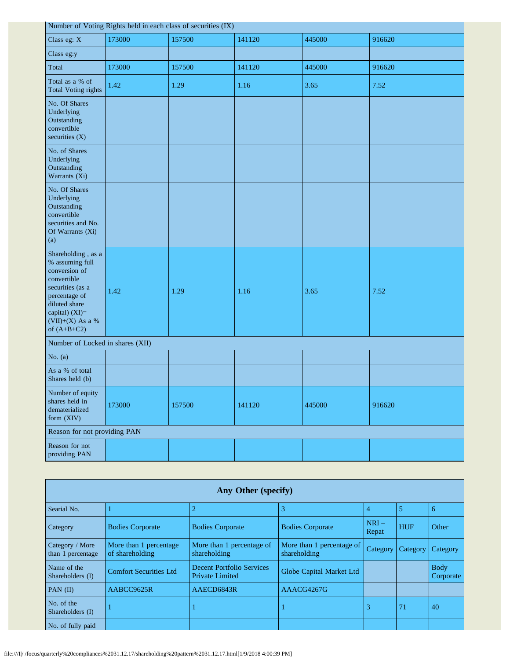| Number of Voting Rights held in each class of securities (IX)                                                                                                                      |        |        |        |        |        |
|------------------------------------------------------------------------------------------------------------------------------------------------------------------------------------|--------|--------|--------|--------|--------|
|                                                                                                                                                                                    |        |        |        |        |        |
| Class eg: X                                                                                                                                                                        | 173000 | 157500 | 141120 | 445000 | 916620 |
| Class eg:y                                                                                                                                                                         |        |        |        |        |        |
| Total                                                                                                                                                                              | 173000 | 157500 | 141120 | 445000 | 916620 |
| Total as a % of<br>Total Voting rights                                                                                                                                             | 1.42   | 1.29   | 1.16   | 3.65   | 7.52   |
| No. Of Shares<br>Underlying<br>Outstanding<br>convertible<br>securities (X)                                                                                                        |        |        |        |        |        |
| No. of Shares<br>Underlying<br>Outstanding<br>Warrants (Xi)                                                                                                                        |        |        |        |        |        |
| No. Of Shares<br>Underlying<br>Outstanding<br>convertible<br>securities and No.<br>Of Warrants (Xi)<br>(a)                                                                         |        |        |        |        |        |
| Shareholding, as a<br>% assuming full<br>conversion of<br>convertible<br>securities (as a<br>percentage of<br>diluted share<br>capital) (XI)=<br>(VII)+(X) As a %<br>of $(A+B+C2)$ | 1.42   | 1.29   | 1.16   | 3.65   | 7.52   |
| Number of Locked in shares (XII)                                                                                                                                                   |        |        |        |        |        |
| No. $(a)$                                                                                                                                                                          |        |        |        |        |        |
| As a % of total<br>Shares held (b)                                                                                                                                                 |        |        |        |        |        |
| Number of equity<br>shares held in<br>dematerialized<br>form (XIV)                                                                                                                 | 173000 | 157500 | 141120 | 445000 | 916620 |
| Reason for not providing PAN                                                                                                                                                       |        |        |        |        |        |
| Reason for not<br>providing PAN                                                                                                                                                    |        |        |        |        |        |

| <b>Any Other (specify)</b>           |                                           |                                                            |                                           |                  |            |                          |
|--------------------------------------|-------------------------------------------|------------------------------------------------------------|-------------------------------------------|------------------|------------|--------------------------|
| Searial No.                          |                                           | $\overline{2}$                                             | 3                                         | 4                | 5          | 6                        |
| Category                             | <b>Bodies Corporate</b>                   | <b>Bodies Corporate</b>                                    | <b>Bodies Corporate</b>                   | $NRI -$<br>Repat | <b>HUF</b> | Other                    |
| Category / More<br>than 1 percentage | More than 1 percentage<br>of shareholding | More than 1 percentage of<br>shareholding                  | More than 1 percentage of<br>shareholding | Category         | Category   | Category                 |
| Name of the<br>Shareholders (I)      | <b>Comfort Securities Ltd</b>             | <b>Decent Portfolio Services</b><br><b>Private Limited</b> | Globe Capital Market Ltd                  |                  |            | <b>Body</b><br>Corporate |
| PAN $(II)$                           | AABCC9625R                                | AAECD6843R                                                 | AAACG4267G                                |                  |            |                          |
| No. of the<br>Shareholders (I)       |                                           |                                                            |                                           | 3                | 71         | 40                       |
| No. of fully paid                    |                                           |                                                            |                                           |                  |            |                          |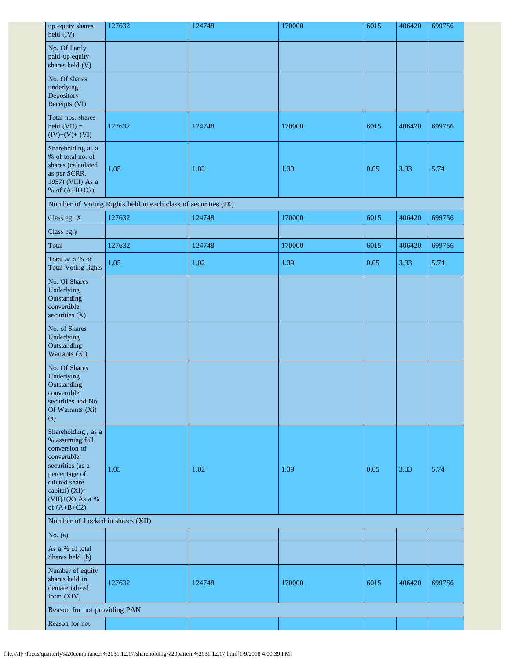| up equity shares<br>$\text{held } (IV)$                                                                                                                                            | 127632                                                        | 124748 | 170000 | 6015 | 406420 | 699756 |
|------------------------------------------------------------------------------------------------------------------------------------------------------------------------------------|---------------------------------------------------------------|--------|--------|------|--------|--------|
| No. Of Partly<br>paid-up equity<br>shares held (V)                                                                                                                                 |                                                               |        |        |      |        |        |
| No. Of shares<br>underlying<br>Depository<br>Receipts (VI)                                                                                                                         |                                                               |        |        |      |        |        |
| Total nos. shares<br>held $(VII) =$<br>$(IV)+(V)+(VI)$                                                                                                                             | 127632                                                        | 124748 | 170000 | 6015 | 406420 | 699756 |
| Shareholding as a<br>% of total no. of<br>shares (calculated<br>as per SCRR,<br>1957) (VIII) As a<br>% of $(A+B+C2)$                                                               | 1.05                                                          | 1.02   | 1.39   | 0.05 | 3.33   | 5.74   |
|                                                                                                                                                                                    | Number of Voting Rights held in each class of securities (IX) |        |        |      |        |        |
| Class eg: X                                                                                                                                                                        | 127632                                                        | 124748 | 170000 | 6015 | 406420 | 699756 |
| Class eg:y                                                                                                                                                                         |                                                               |        |        |      |        |        |
| Total                                                                                                                                                                              | 127632                                                        | 124748 | 170000 | 6015 | 406420 | 699756 |
| Total as a % of<br><b>Total Voting rights</b>                                                                                                                                      | 1.05                                                          | 1.02   | 1.39   | 0.05 | 3.33   | 5.74   |
| No. Of Shares<br>Underlying<br>Outstanding<br>convertible<br>securities (X)                                                                                                        |                                                               |        |        |      |        |        |
| No. of Shares<br>Underlying<br>Outstanding<br>Warrants (Xi)                                                                                                                        |                                                               |        |        |      |        |        |
| No. Of Shares<br>Underlying<br>Outstanding<br>convertible<br>securities and No.<br>Of Warrants (Xi)<br>(a)                                                                         |                                                               |        |        |      |        |        |
| Shareholding, as a<br>% assuming full<br>conversion of<br>convertible<br>securities (as a<br>percentage of<br>diluted share<br>capital) (XI)=<br>(VII)+(X) As a %<br>of $(A+B+C2)$ | 1.05                                                          | 1.02   | 1.39   | 0.05 | 3.33   | 5.74   |
| Number of Locked in shares (XII)                                                                                                                                                   |                                                               |        |        |      |        |        |
| No. $(a)$                                                                                                                                                                          |                                                               |        |        |      |        |        |
| As a % of total<br>Shares held (b)                                                                                                                                                 |                                                               |        |        |      |        |        |
| Number of equity<br>shares held in<br>dematerialized<br>form (XIV)                                                                                                                 | 127632                                                        | 124748 | 170000 | 6015 | 406420 | 699756 |
| Reason for not providing PAN                                                                                                                                                       |                                                               |        |        |      |        |        |
| Reason for not                                                                                                                                                                     |                                                               |        |        |      |        |        |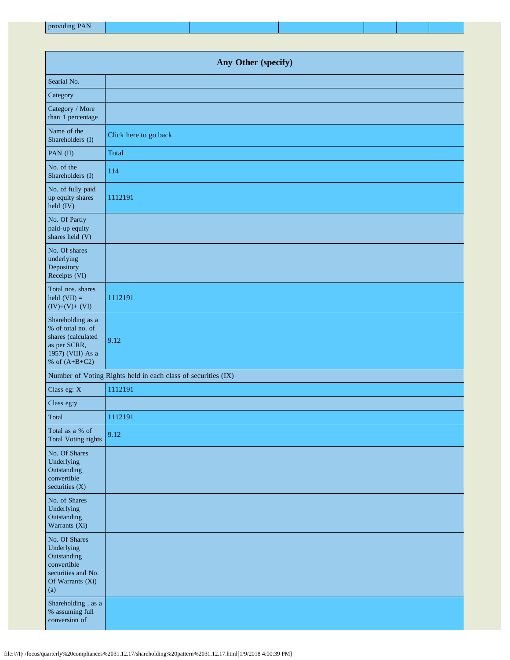| providing PAN |  |  |  |
|---------------|--|--|--|
|               |  |  |  |

|                                                                                                                      | Any Other (specify)                                           |
|----------------------------------------------------------------------------------------------------------------------|---------------------------------------------------------------|
| Searial No.                                                                                                          |                                                               |
| Category                                                                                                             |                                                               |
| Category / More<br>than 1 percentage                                                                                 |                                                               |
| Name of the<br>Shareholders (I)                                                                                      | Click here to go back                                         |
| PAN (II)                                                                                                             | Total                                                         |
| No. of the<br>Shareholders (I)                                                                                       | 114                                                           |
| No. of fully paid<br>up equity shares<br>held (IV)                                                                   | 1112191                                                       |
| No. Of Partly<br>paid-up equity<br>shares held (V)                                                                   |                                                               |
| No. Of shares<br>underlying<br>Depository<br>Receipts (VI)                                                           |                                                               |
| Total nos. shares<br>held $(VII) =$<br>$(IV)+(V)+(VI)$                                                               | 1112191                                                       |
| Shareholding as a<br>% of total no. of<br>shares (calculated<br>as per SCRR,<br>1957) (VIII) As a<br>% of $(A+B+C2)$ | 9.12                                                          |
|                                                                                                                      | Number of Voting Rights held in each class of securities (IX) |
| Class eg: X                                                                                                          | 1112191                                                       |
| Class eg:y                                                                                                           |                                                               |
| Total                                                                                                                | 1112191                                                       |
| Total as a % of<br><b>Total Voting rights</b>                                                                        | 9.12                                                          |
| No. Of Shares<br>Underlying<br>Outstanding<br>convertible<br>securities $(X)$                                        |                                                               |
| No. of Shares<br>Underlying<br>Outstanding<br>Warrants (Xi)                                                          |                                                               |
| No. Of Shares<br>Underlying<br>Outstanding<br>convertible<br>securities and No.<br>Of Warrants (Xi)<br>(a)           |                                                               |
| Shareholding, as a<br>% assuming full<br>conversion of                                                               |                                                               |